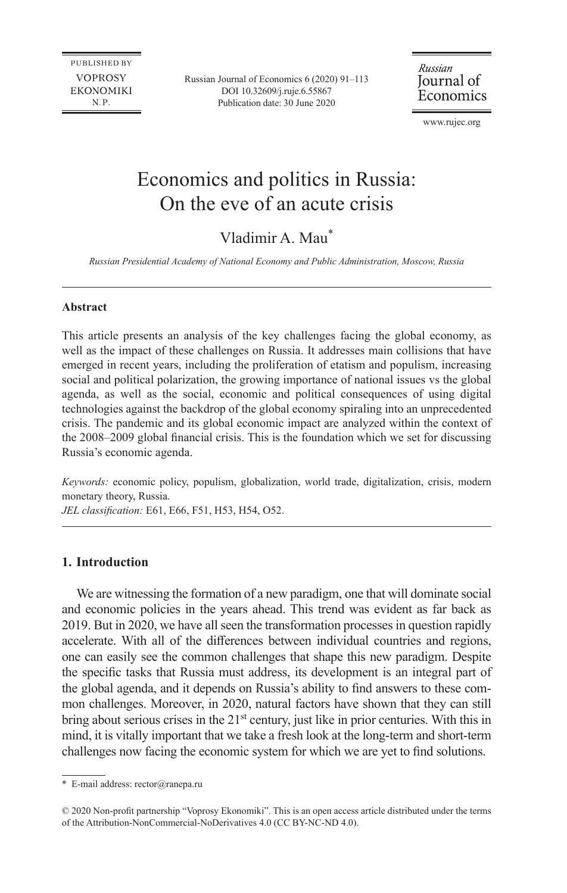**PUBLISHED BY VOPROSY EKONOMIKI**  $N.P.$ 

Russian Journal of Economics 6 (2020) 91–113 DOI [10.32609/j.ruje.6.55867](https://doi.org/10.32609/j.ruje.6.55867) Publication date: 30 June 2020

Russian Journal of Economics

www.rujec.org

# Economics and politics in Russia: On the eve of an acute crisis

## Vladimir A. Mau\*

*Russian Presidential Academy of National Economy and Public Administration, Moscow, Russia* 

#### **Abstract**

This article presents an analysis of the key challenges facing the global economy, as well as the impact of these challenges on Russia. It addresses main collisions that have emerged in recent years, including the proliferation of etatism and populism, increasing social and political polarization, the growing importance of national issues vs the global agenda, as well as the social, economic and political consequences of using digital technologies against the backdrop of the global economy spiraling into an unprecedented crisis. The pandemic and its global economic impact are analyzed within the context of the 2008–2009 global financial crisis. This is the foundation which we set for discussing Russia's economic agenda.

*Keywords:* economic policy, populism, globalization, world trade, digitalization, crisis, modern monetary theory, Russia.

*JEL classification:* E61, E66, F51, H53, H54, O52.

#### **1. Introduction**

We are witnessing the formation of a new paradigm, one that will dominate social and economic policies in the years ahead. This trend was evident as far back as 2019. But in 2020, we have all seen the transformation processes in question rapidly accelerate. With all of the differences between individual countries and regions, one can easily see the common challenges that shape this new paradigm. Despite the specific tasks that Russia must address, its development is an integral part of the global agenda, and it depends on Russia's ability to find answers to these common challenges. Moreover, in 2020, natural factors have shown that they can still bring about serious crises in the 21<sup>st</sup> century, just like in prior centuries. With this in mind, it is vitally important that we take a fresh look at the long-term and short-term challenges now facing the economic system for which we are yet to find solutions.

<sup>\*</sup> E-mail address: [rector@ranepa.ru](mailto:rector@ranepa.ru)

<sup>©</sup> 2020 Non-profit partnership "Voprosy Ekonomiki". This is an open access article distributed under the terms of the [Attribution-NonCommercial-NoDerivatives 4.0 \(CC BY-NC-ND 4.0\)](http://creativecommons.org/licenses/by-nc-nd/4.0/).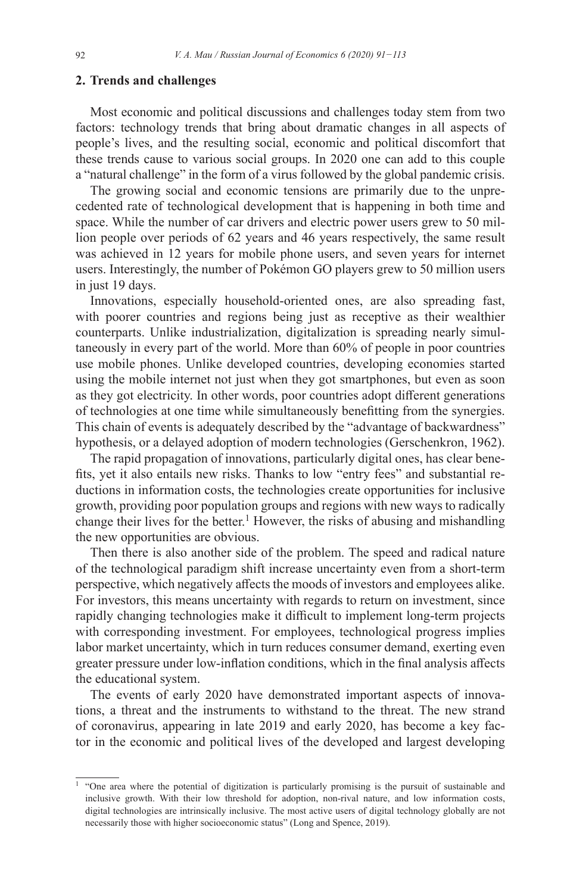#### **2. Trends and challenges**

Most economic and political discussions and challenges today stem from two factors: technology trends that bring about dramatic changes in all aspects of people's lives, and the resulting social, economic and political discomfort that these trends cause to various social groups. In 2020 one can add to this couple a "natural challenge" in the form of a virus followed by the global pandemic crisis.

The growing social and economic tensions are primarily due to the unprecedented rate of technological development that is happening in both time and space. While the number of car drivers and electric power users grew to 50 million people over periods of 62 years and 46 years respectively, the same result was achieved in 12 years for mobile phone users, and seven years for internet users. Interestingly, the number of Pokémon GO players grew to 50 million users in just 19 days.

Innovations, especially household-oriented ones, are also spreading fast, with poorer countries and regions being just as receptive as their wealthier counterparts. Unlike industrialization, digitalization is spreading nearly simultaneously in every part of the world. More than 60% of people in poor countries use mobile phones. Unlike developed countries, developing economies started using the mobile internet not just when they got smartphones, but even as soon as they got electricity. In other words, poor countries adopt different generations of technologies at one time while simultaneously benefitting from the synergies. This chain of events is adequately described by the "advantage of backwardness" hypothesis, or a delayed adoption of modern technologies (Gerschenkron, 1962).

The rapid propagation of innovations, particularly digital ones, has clear benefits, yet it also entails new risks. Thanks to low "entry fees" and substantial reductions in information costs, the technologies create opportunities for inclusive growth, providing poor population groups and regions with new ways to radically change their lives for the better.<sup>1</sup> However, the risks of abusing and mishandling the new opportunities are obvious.

Then there is also another side of the problem. The speed and radical nature of the technological paradigm shift increase uncertainty even from a short-term perspective, which negatively affects the moods of investors and employees alike. For investors, this means uncertainty with regards to return on investment, since rapidly changing technologies make it difficult to implement long-term projects with corresponding investment. For employees, technological progress implies labor market uncertainty, which in turn reduces consumer demand, exerting even greater pressure under low-inflation conditions, which in the final analysis affects the educational system.

The events of early 2020 have demonstrated important aspects of innovations, a threat and the instruments to withstand to the threat. The new strand of coronavirus, appearing in late 2019 and early 2020, has become a key factor in the economic and political lives of the developed and largest developing

<sup>&</sup>lt;sup>1</sup> "One area where the potential of digitization is particularly promising is the pursuit of sustainable and inclusive growth. With their low threshold for adoption, non-rival nature, and low information costs, digital technologies are intrinsically inclusive. The most active users of digital technology globally are not necessarily those with higher socioeconomic status" (Long and Spence, 2019).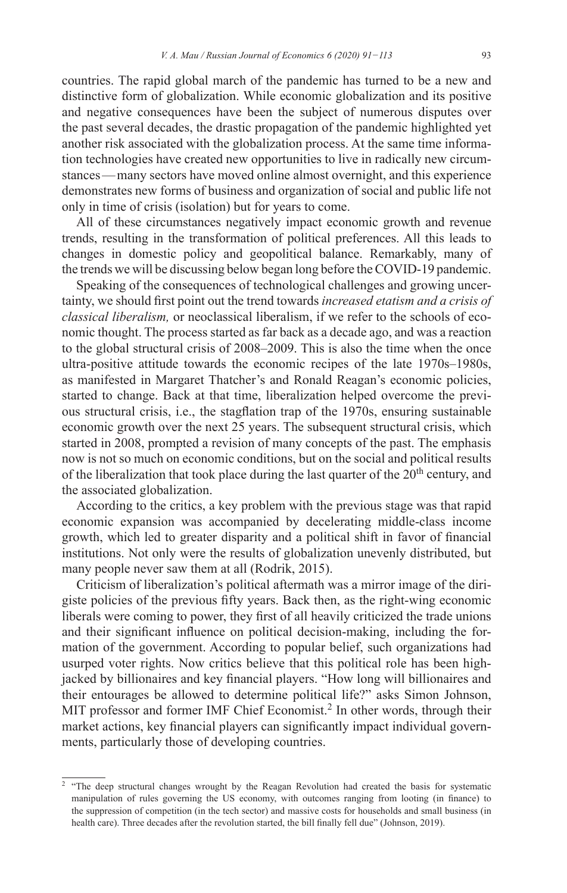countries. The rapid global march of the pandemic has turned to be a new and distinctive form of globalization. While economic globalization and its positive and negative consequences have been the subject of numerous disputes over the past several decades, the drastic propagation of the pandemic highlighted yet another risk associated with the globalization process. At the same time information technologies have created new opportunities to live in radically new circumstances—many sectors have moved online almost overnight, and this experience demonstrates new forms of business and organization of social and public life not only in time of crisis (isolation) but for years to come.

All of these circumstances negatively impact economic growth and revenue trends, resulting in the transformation of political preferences. All this leads to changes in domestic policy and geopolitical balance. Remarkably, many of the trends we will be discussing below began long before theCOVID-19 pandemic.

Speaking of the consequences of technological challenges and growing uncertainty, we should first point out the trend towards *increased etatism and a crisis of classical liberalism,* or neoclassical liberalism, if we refer to the schools of economic thought. The process started as far back as a decade ago, and was a reaction to the global structural crisis of 2008–2009. This is also the time when the once ultra-positive attitude towards the economic recipes of the late 1970s–1980s, as manifested in Margaret Thatcher's and Ronald Reagan's economic policies, started to change. Back at that time, liberalization helped overcome the previous structural crisis, i.e., the stagflation trap of the 1970s, ensuring sustainable economic growth over the next 25 years. The subsequent structural crisis, which started in 2008, prompted a revision of many concepts of the past. The emphasis now is not so much on economic conditions, but on the social and political results of the liberalization that took place during the last quarter of the  $20<sup>th</sup>$  century, and the associated globalization.

According to the critics, a key problem with the previous stage was that rapid economic expansion was accompanied by decelerating middle-class income growth, which led to greater disparity and a political shift in favor of financial institutions. Not only were the results of globalization unevenly distributed, but many people never saw them at all (Rodrik, 2015).

Criticism of liberalization's political aftermath was a mirror image of the dirigiste policies of the previous fifty years. Back then, as the right-wing economic liberals were coming to power, they first of all heavily criticized the trade unions and their significant influence on political decision-making, including the formation of the government. According to popular belief, such organizations had usurped voter rights. Now critics believe that this political role has been highjacked by billionaires and key financial players. "How long will billionaires and their entourages be allowed to determine political life?" asks Simon Johnson, MIT professor and former IMF Chief Economist.<sup>2</sup> In other words, through their market actions, key financial players can significantly impact individual governments, particularly those of developing countries.

<sup>&</sup>lt;sup>2</sup> "The deep structural changes wrought by the Reagan Revolution had created the basis for systematic manipulation of rules governing the US economy, with outcomes ranging from looting (in finance) to the suppression of competition (in the tech sector) and massive costs for households and small business (in health care). Three decades after the revolution started, the bill finally fell due" (Johnson, 2019).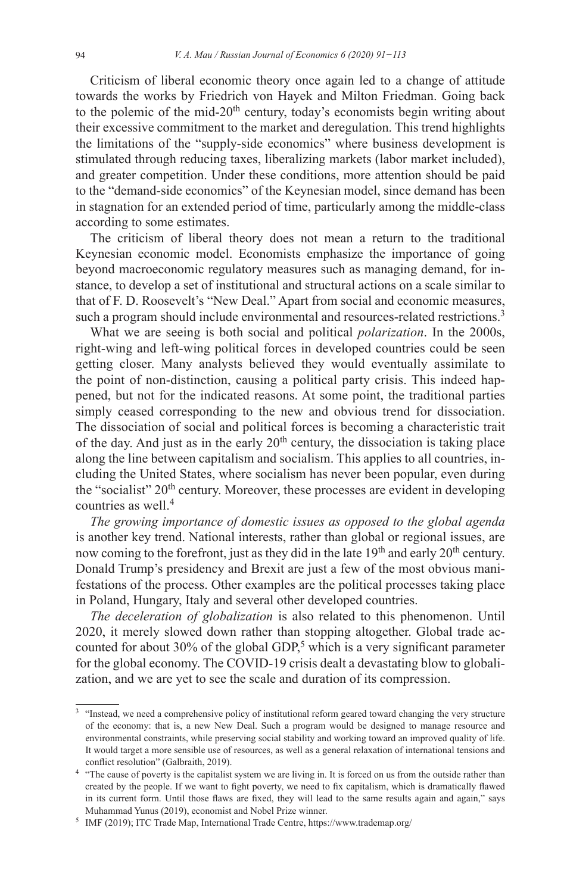Criticism of liberal economic theory once again led to a change of attitude towards the works by Friedrich von Hayek and Milton Friedman. Going back to the polemic of the mid- $20<sup>th</sup>$  century, today's economists begin writing about their excessive commitment to the market and deregulation. This trend highlights the limitations of the "supply-side economics" where business development is stimulated through reducing taxes, liberalizing markets (labor market included), and greater competition. Under these conditions, more attention should be paid to the "demand-side economics" of the Keynesian model, since demand has been in stagnation for an extended period of time, particularly among the middle-class according to some estimates.

The criticism of liberal theory does not mean a return to the traditional Keynesian economic model. Economists emphasize the importance of going beyond macroeconomic regulatory measures such as managing demand, for instance, to develop a set of institutional and structural actions on a scale similar to that of F. D. Roosevelt's "New Deal." Apart from social and economic measures, such a program should include environmental and resources-related restrictions.<sup>3</sup>

What we are seeing is both social and political *polarization*. In the 2000s, right-wing and left-wing political forces in developed countries could be seen getting closer. Many analysts believed they would eventually assimilate to the point of non-distinction, causing a political party crisis. This indeed happened, but not for the indicated reasons. At some point, the traditional parties simply ceased corresponding to the new and obvious trend for dissociation. The dissociation of social and political forces is becoming a characteristic trait of the day. And just as in the early  $20<sup>th</sup>$  century, the dissociation is taking place along the line between capitalism and socialism. This applies to all countries, including the United States, where socialism has never been popular, even during the "socialist" 20<sup>th</sup> century. Moreover, these processes are evident in developing countries as well.<sup>4</sup>

*The growing importance of domestic issues as opposed to the global agenda* is another key trend. National interests, rather than global or regional issues, are now coming to the forefront, just as they did in the late 19<sup>th</sup> and early 20<sup>th</sup> century. Donald Trump's presidency and Brexit are just a few of the most obvious manifestations of the process. Other examples are the political processes taking place in Poland, Hungary, Italy and several other developed countries.

*The deceleration of globalization* is also related to this phenomenon. Until 2020, it merely slowed down rather than stopping altogether. Global trade accounted for about 30% of the global GDP,<sup>5</sup> which is a very significant parameter for the global economy. The COVID-19 crisis dealt a devastating blow to globalization, and we are yet to see the scale and duration of its compression.

<sup>&</sup>lt;sup>3</sup> "Instead, we need a comprehensive policy of institutional reform geared toward changing the very structure of the economy: that is, a new New Deal. Such a program would be designed to manage resource and environmental constraints, while preserving social stability and working toward an improved quality of life. It would target a more sensible use of resources, as well as a general relaxation of international tensions and conflict resolution" (Galbraith, 2019).

<sup>&</sup>lt;sup>4</sup> "The cause of poverty is the capitalist system we are living in. It is forced on us from the outside rather than created by the people. If we want to fight poverty, we need to fix capitalism, which is dramatically flawed in its current form. Until those flaws are fixed, they will lead to the same results again and again," says Muhammad Yunus (2019), economist and Nobel Prize winner.<br><sup>5</sup> IMF (2019); ITC Trade Map, International Trade Centre, https://www.trademap.org/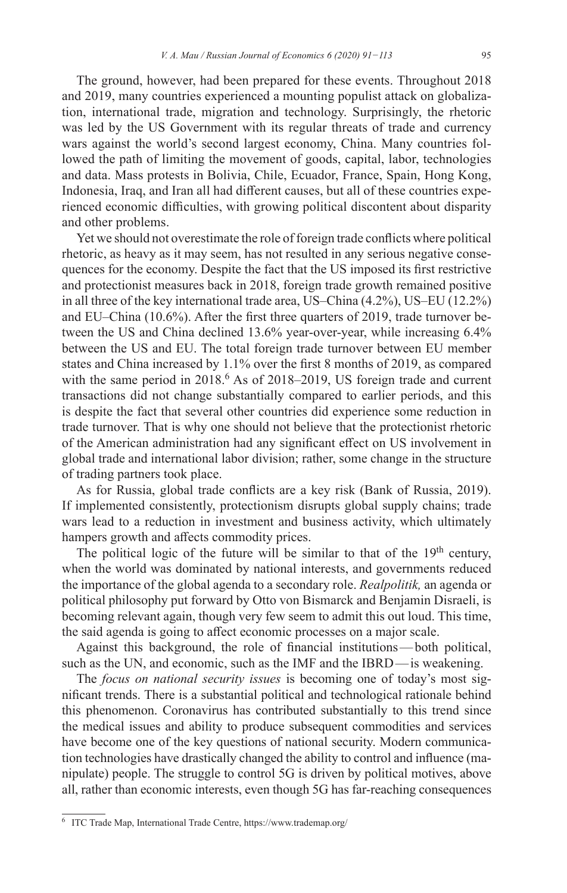The ground, however, had been prepared for these events. Throughout 2018 and 2019, many countries experienced a mounting populist attack on globalization, international trade, migration and technology. Surprisingly, the rhetoric was led by the US Government with its regular threats of trade and currency wars against the world's second largest economy, China. Many countries followed the path of limiting the movement of goods, capital, labor, technologies and data. Mass protests in Bolivia, Chile, Ecuador, France, Spain, Hong Kong, Indonesia, Iraq, and Iran all had different causes, but all of these countries experienced economic difficulties, with growing political discontent about disparity and other problems.

Yet we should not overestimate the role of foreign trade conflicts where political rhetoric, as heavy as it may seem, has not resulted in any serious negative consequences for the economy. Despite the fact that the US imposed its first restrictive and protectionist measures back in 2018, foreign trade growth remained positive in all three of the key international trade area, US–China (4.2%), US–EU (12.2%) and EU–China (10.6%). After the first three quarters of 2019, trade turnover between the US and China declined 13.6% year-over-year, while increasing 6.4% between the US and EU. The total foreign trade turnover between EU member states and China increased by 1.1% over the first 8 months of 2019, as compared with the same period in  $2018<sup>6</sup>$  As of  $2018-2019$ , US foreign trade and current transactions did not change substantially compared to earlier periods, and this is despite the fact that several other countries did experience some reduction in trade turnover. That is why one should not believe that the protectionist rhetoric of the American administration had any significant effect on US involvement in global trade and international labor division; rather, some change in the structure of trading partners took place.

As for Russia, global trade conflicts are a key risk (Bank of Russia, 2019). If implemented consistently, protectionism disrupts global supply chains; trade wars lead to a reduction in investment and business activity, which ultimately hampers growth and affects commodity prices.

The political logic of the future will be similar to that of the 19<sup>th</sup> century, when the world was dominated by national interests, and governments reduced the importance of the global agenda to a secondary role. *Realpolitik,* an agenda or political philosophy put forward by Otto von Bismarck and Benjamin Disraeli, is becoming relevant again, though very few seem to admit this out loud. This time, the said agenda is going to affect economic processes on a major scale.

Against this background, the role of financial institutions—both political, such as the UN, and economic, such as the IMF and the IBRD—is weakening.

The *focus on national security issues* is becoming one of today's most significant trends. There is a substantial political and technological rationale behind this phenomenon. Coronavirus has contributed substantially to this trend since the medical issues and ability to produce subsequent commodities and services have become one of the key questions of national security. Modern communication technologies have drastically changed the ability to control and influence (manipulate) people. The struggle to control 5G is driven by political motives, above all, rather than economic interests, even though 5G has far-reaching consequences

<sup>6</sup> ITC Trade Map, International Trade Centre, <https://www.trademap.org/>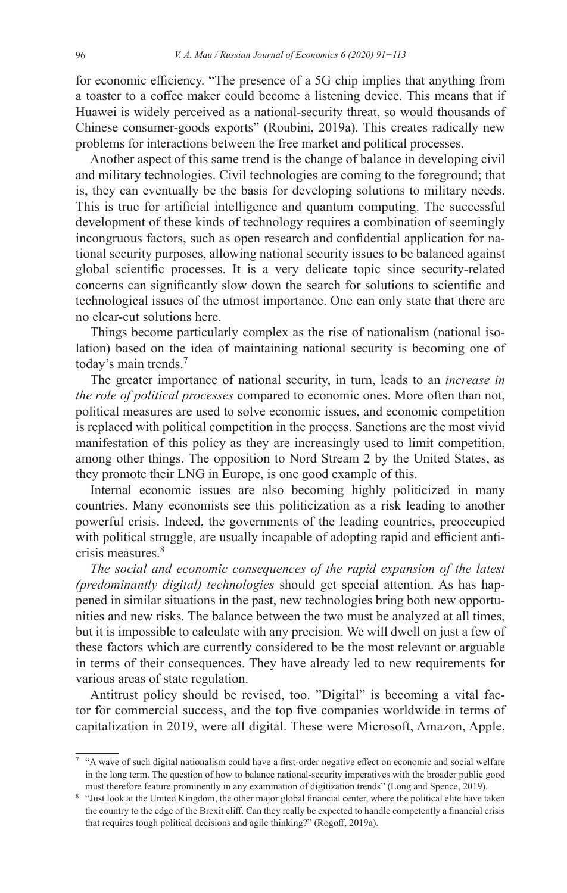for economic efficiency. "The presence of a 5G chip implies that anything from a toaster to a coffee maker could become a listening device. This means that if Huawei is widely perceived as a national-security threat, so would thousands of Chinese consumer-goods exports" (Roubini, 2019a). This creates radically new problems for interactions between the free market and political processes.

Another aspect of this same trend is the change of balance in developing civil and military technologies. Civil technologies are coming to the foreground; that is, they can eventually be the basis for developing solutions to military needs. This is true for artificial intelligence and quantum computing. The successful development of these kinds of technology requires a combination of seemingly incongruous factors, such as open research and confidential application for national security purposes, allowing national security issues to be balanced against global scientific processes. It is a very delicate topic since security-related concerns can significantly slow down the search for solutions to scientific and technological issues of the utmost importance. One can only state that there are no clear-cut solutions here.

Things become particularly complex as the rise of nationalism (national isolation) based on the idea of maintaining national security is becoming one of today's main trends.7

The greater importance of national security, in turn, leads to an *increase in the role of political processes* compared to economic ones. More often than not, political measures are used to solve economic issues, and economic competition is replaced with political competition in the process. Sanctions are the most vivid manifestation of this policy as they are increasingly used to limit competition, among other things. The opposition to Nord Stream 2 by the United States, as they promote their LNG in Europe, is one good example of this.

Internal economic issues are also becoming highly politicized in many countries. Many economists see this politicization as a risk leading to another powerful crisis. Indeed, the governments of the leading countries, preoccupied with political struggle, are usually incapable of adopting rapid and efficient anticrisis measures.<sup>8</sup>

*The social and economic consequences of the rapid expansion of the latest (predominantly digital) technologies* should get special attention. As has happened in similar situations in the past, new technologies bring both new opportunities and new risks. The balance between the two must be analyzed at all times, but it is impossible to calculate with any precision. We will dwell on just a few of these factors which are currently considered to be the most relevant or arguable in terms of their consequences. They have already led to new requirements for various areas of state regulation.

Antitrust policy should be revised, too. "Digital" is becoming a vital factor for commercial success, and the top five companies worldwide in terms of capitalization in 2019, were all digital. These were Microsoft, Amazon, Apple,

<sup>7</sup> "A wave of such digital nationalism could have a first-order negative effect on economic and social welfare in the long term. The question of how to balance national-security imperatives with the broader public good must therefore feature prominently in any examination of digitization trends" (Long and Spence, 2019).

<sup>8</sup> "Just look at the United Kingdom, the other major global financial center, where the political elite have taken the country to the edge of the Brexit cliff. Can they really be expected to handle competently a financial crisis that requires tough political decisions and agile thinking?" (Rogoff, 2019a).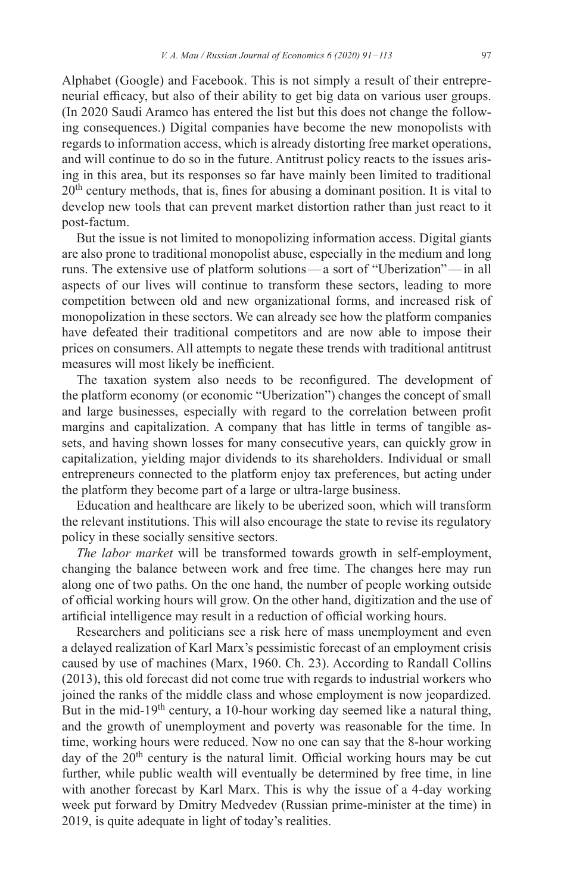Alphabet (Google) and Facebook. This is not simply a result of their entrepreneurial efficacy, but also of their ability to get big data on various user groups. (In 2020 Saudi Aramco has entered the list but this does not change the following consequences.) Digital companies have become the new monopolists with regards to information access, which is already distorting free market operations, and will continue to do so in the future. Antitrust policy reacts to the issues arising in this area, but its responses so far have mainly been limited to traditional 20<sup>th</sup> century methods, that is, fines for abusing a dominant position. It is vital to develop new tools that can prevent market distortion rather than just react to it post-factum.

But the issue is not limited to monopolizing information access. Digital giants are also prone to traditional monopolist abuse, especially in the medium and long runs. The extensive use of platform solutions—a sort of "Uberization"—in all aspects of our lives will continue to transform these sectors, leading to more competition between old and new organizational forms, and increased risk of monopolization in these sectors. We can already see how the platform companies have defeated their traditional competitors and are now able to impose their prices on consumers. All attempts to negate these trends with traditional antitrust measures will most likely be inefficient.

The taxation system also needs to be reconfigured. The development of the platform economy (or economic "Uberization") changes the concept of small and large businesses, especially with regard to the correlation between profit margins and capitalization. A company that has little in terms of tangible assets, and having shown losses for many consecutive years, can quickly grow in capitalization, yielding major dividends to its shareholders. Individual or small entrepreneurs connected to the platform enjoy tax preferences, but acting under the platform they become part of a large or ultra-large business.

Education and healthcare are likely to be uberized soon, which will transform the relevant institutions. This will also encourage the state to revise its regulatory policy in these socially sensitive sectors.

*The labor market* will be transformed towards growth in self-employment, changing the balance between work and free time. The changes here may run along one of two paths. On the one hand, the number of people working outside of official working hours will grow. On the other hand, digitization and the use of artificial intelligence may result in a reduction of official working hours.

Researchers and politicians see a risk here of mass unemployment and even a delayed realization of Karl Marx's pessimistic forecast of an employment crisis caused by use of machines (Marx, 1960. Ch. 23). According to Randall Collins (2013), this old forecast did not come true with regards to industrial workers who joined the ranks of the middle class and whose employment is now jeopardized. But in the mid-19<sup>th</sup> century, a 10-hour working day seemed like a natural thing, and the growth of unemployment and poverty was reasonable for the time. In time, working hours were reduced. Now no one can say that the 8-hour working day of the  $20<sup>th</sup>$  century is the natural limit. Official working hours may be cut further, while public wealth will eventually be determined by free time, in line with another forecast by Karl Marx. This is why the issue of a 4-day working week put forward by Dmitry Medvedev (Russian prime-minister at the time) in 2019, is quite adequate in light of today's realities.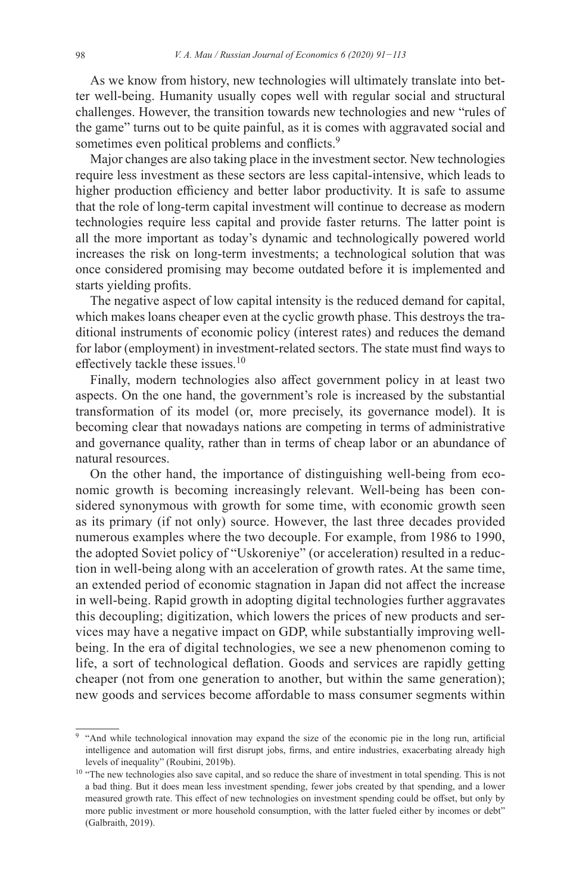As we know from history, new technologies will ultimately translate into better well-being. Humanity usually copes well with regular social and structural challenges. However, the transition towards new technologies and new "rules of the game" turns out to be quite painful, as it is comes with aggravated social and sometimes even political problems and conflicts.<sup>9</sup>

Major changes are also taking place in the investment sector. New technologies require less investment as these sectors are less capital-intensive, which leads to higher production efficiency and better labor productivity. It is safe to assume that the role of long-term capital investment will continue to decrease as modern technologies require less capital and provide faster returns. The latter point is all the more important as today's dynamic and technologically powered world increases the risk on long-term investments; a technological solution that was once considered promising may become outdated before it is implemented and starts yielding profits.

The negative aspect of low capital intensity is the reduced demand for capital, which makes loans cheaper even at the cyclic growth phase. This destroys the traditional instruments of economic policy (interest rates) and reduces the demand for labor (employment) in investment-related sectors. The state must find ways to effectively tackle these issues.<sup>10</sup>

Finally, modern technologies also affect government policy in at least two aspects. On the one hand, the government's role is increased by the substantial transformation of its model (or, more precisely, its governance model). It is becoming clear that nowadays nations are competing in terms of administrative and governance quality, rather than in terms of cheap labor or an abundance of natural resources.

On the other hand, the importance of distinguishing well-being from economic growth is becoming increasingly relevant. Well-being has been considered synonymous with growth for some time, with economic growth seen as its primary (if not only) source. However, the last three decades provided numerous examples where the two decouple. For example, from 1986 to 1990, the adopted Soviet policy of "Uskoreniye" (or acceleration) resulted in a reduction in well-being along with an acceleration of growth rates. At the same time, an extended period of economic stagnation in Japan did not affect the increase in well-being. Rapid growth in adopting digital technologies further aggravates this decoupling; digitization, which lowers the prices of new products and services may have a negative impact on GDP, while substantially improving wellbeing. In the era of digital technologies, we see a new phenomenon coming to life, a sort of technological deflation. Goods and services are rapidly getting cheaper (not from one generation to another, but within the same generation); new goods and services become affordable to mass consumer segments within

<sup>&</sup>lt;sup>9</sup> "And while technological innovation may expand the size of the economic pie in the long run, artificial intelligence and automation will first disrupt jobs, firms, and entire industries, exacerbating already high levels of inequality" (Roubini, 2019b).

<sup>&</sup>lt;sup>10</sup> "The new technologies also save capital, and so reduce the share of investment in total spending. This is not a bad thing. But it does mean less investment spending, fewer jobs created by that spending, and a lower measured growth rate. This effect of new technologies on investment spending could be offset, but only by more public investment or more household consumption, with the latter fueled either by incomes or debt" (Galbraith, 2019).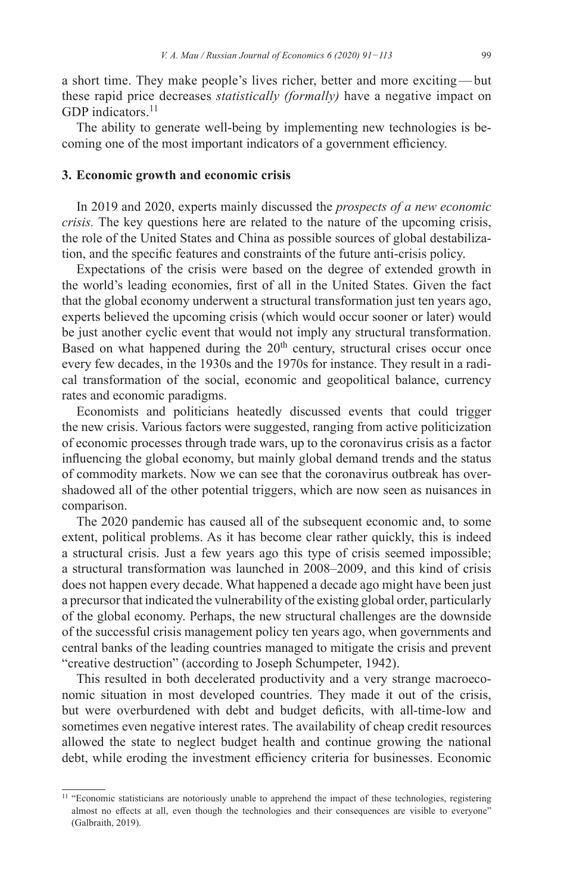a short time. They make people's lives richer, better and more exciting—but these rapid price decreases *statistically (formally)* have a negative impact on GDP indicators.<sup>11</sup>

The ability to generate well-being by implementing new technologies is becoming one of the most important indicators of a government efficiency.

#### **3. Economic growth and economic crisis**

In 2019 and 2020, experts mainly discussed the *prospects of a new economic crisis.* The key questions here are related to the nature of the upcoming crisis, the role of the United States and China as possible sources of global destabilization, and the specific features and constraints of the future anti-crisis policy.

Expectations of the crisis were based on the degree of extended growth in the world's leading economies, first of all in the United States. Given the fact that the global economy underwent a structural transformation just ten years ago, experts believed the upcoming crisis (which would occur sooner or later) would be just another cyclic event that would not imply any structural transformation. Based on what happened during the  $20<sup>th</sup>$  century, structural crises occur once every few decades, in the 1930s and the 1970s for instance. They result in a radical transformation of the social, economic and geopolitical balance, currency rates and economic paradigms.

Economists and politicians heatedly discussed events that could trigger the new crisis. Various factors were suggested, ranging from active politicization of economic processes through trade wars, up to the coronavirus crisis as a factor influencing the global economy, but mainly global demand trends and the status of commodity markets. Now we can see that the coronavirus outbreak has overshadowed all of the other potential triggers, which are now seen as nuisances in comparison.

The 2020 pandemic has caused all of the subsequent economic and, to some extent, political problems. As it has become clear rather quickly, this is indeed a structural crisis. Just a few years ago this type of crisis seemed impossible; a structural transformation was launched in 2008–2009, and this kind of crisis does not happen every decade. What happened a decade ago might have been just a precursor that indicated the vulnerability of the existing global order, particularly of the global economy. Perhaps, the new structural challenges are the downside of the successful crisis management policy ten years ago, when governments and central banks of the leading countries managed to mitigate the crisis and prevent "creative destruction" (according to Joseph Schumpeter, 1942).

This resulted in both decelerated productivity and a very strange macroeconomic situation in most developed countries. They made it out of the crisis, but were overburdened with debt and budget deficits, with all-time-low and sometimes even negative interest rates. The availability of cheap credit resources allowed the state to neglect budget health and continue growing the national debt, while eroding the investment efficiency criteria for businesses. Economic

<sup>&</sup>lt;sup>11</sup> "Economic statisticians are notoriously unable to apprehend the impact of these technologies, registering almost no effects at all, even though the technologies and their consequences are visible to everyone" (Galbraith, 2019).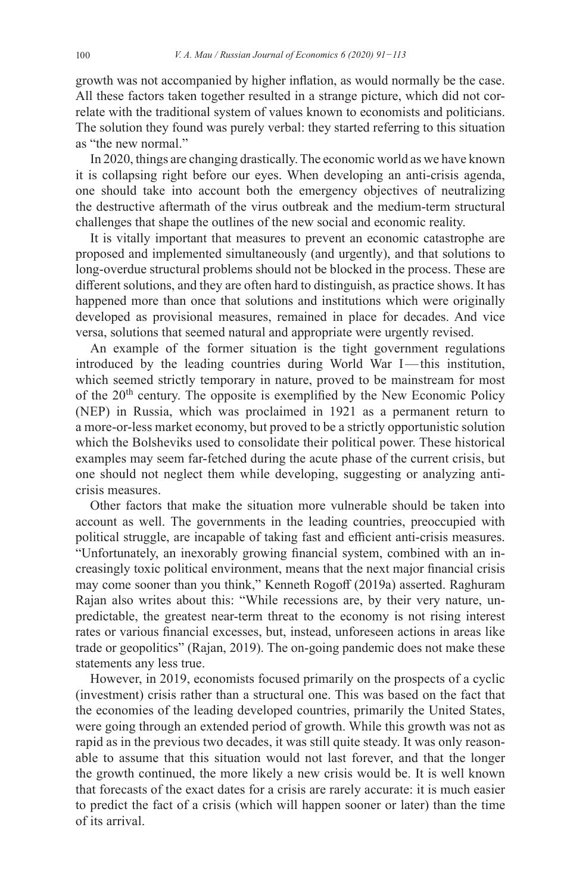growth was not accompanied by higher inflation, as would normally be the case. All these factors taken together resulted in a strange picture, which did not correlate with the traditional system of values known to economists and politicians. The solution they found was purely verbal: they started referring to this situation as "the new normal."

In 2020, things are changing drastically. The economic world as we have known it is collapsing right before our eyes. When developing an anti-crisis agenda, one should take into account both the emergency objectives of neutralizing the destructive aftermath of the virus outbreak and the medium-term structural challenges that shape the outlines of the new social and economic reality.

It is vitally important that measures to prevent an economic catastrophe are proposed and implemented simultaneously (and urgently), and that solutions to long-overdue structural problems should not be blocked in the process. These are different solutions, and they are often hard to distinguish, as practice shows. It has happened more than once that solutions and institutions which were originally developed as provisional measures, remained in place for decades. And vice versa, solutions that seemed natural and appropriate were urgently revised.

An example of the former situation is the tight government regulations introduced by the leading countries during World War I—this institution, which seemed strictly temporary in nature, proved to be mainstream for most of the  $20<sup>th</sup>$  century. The opposite is exemplified by the New Economic Policy (NEP) in Russia, which was proclaimed in 1921 as a permanent return to a more-or-less market economy, but proved to be a strictly opportunistic solution which the Bolsheviks used to consolidate their political power. These historical examples may seem far-fetched during the acute phase of the current crisis, but one should not neglect them while developing, suggesting or analyzing anticrisis measures.

Other factors that make the situation more vulnerable should be taken into account as well. The governments in the leading countries, preoccupied with political struggle, are incapable of taking fast and efficient anti-crisis measures. "Unfortunately, an inexorably growing financial system, combined with an increasingly toxic political environment, means that the next major financial crisis may come sooner than you think," Kenneth Rogoff (2019a) asserted. Raghuram Rajan also writes about this: "While recessions are, by their very nature, unpredictable, the greatest near-term threat to the economy is not rising interest rates or various financial excesses, but, instead, unforeseen actions in areas like trade or geopolitics" (Rajan, 2019). The on-going pandemic does not make these statements any less true.

However, in 2019, economists focused primarily on the prospects of a cyclic (investment) crisis rather than a structural one. This was based on the fact that the economies of the leading developed countries, primarily the United States, were going through an extended period of growth. While this growth was not as rapid as in the previous two decades, it was still quite steady. It was only reasonable to assume that this situation would not last forever, and that the longer the growth continued, the more likely a new crisis would be. It is well known that forecasts of the exact dates for a crisis are rarely accurate: it is much easier to predict the fact of a crisis (which will happen sooner or later) than the time of its arrival.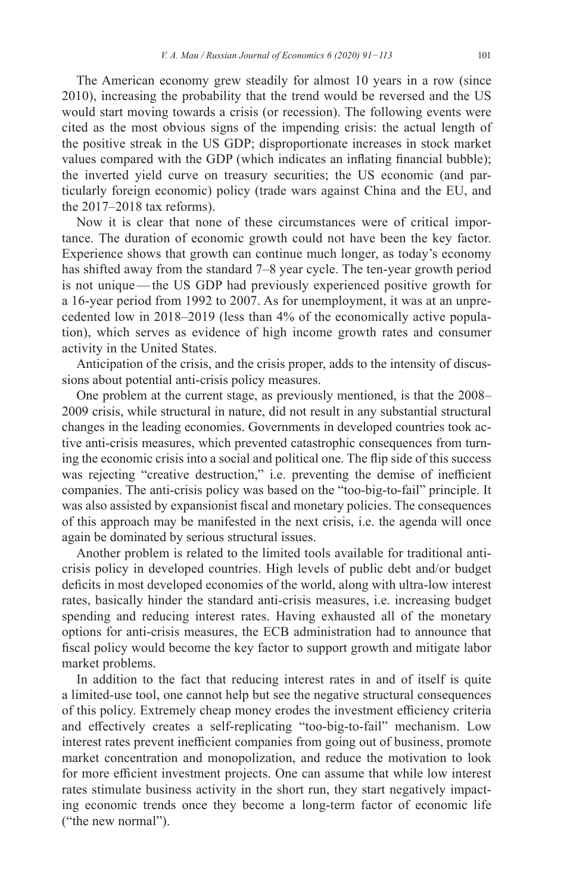The American economy grew steadily for almost 10 years in a row (since 2010), increasing the probability that the trend would be reversed and the US would start moving towards a crisis (or recession). The following events were cited as the most obvious signs of the impending crisis: the actual length of the positive streak in the US GDP; disproportionate increases in stock market values compared with the GDP (which indicates an inflating financial bubble); the inverted yield curve on treasury securities; the US economic (and particularly foreign economic) policy (trade wars against China and the EU, and the 2017–2018 tax reforms).

Now it is clear that none of these circumstances were of critical importance. The duration of economic growth could not have been the key factor. Experience shows that growth can continue much longer, as today's economy has shifted away from the standard 7–8 year cycle. The ten-year growth period is not unique—the US GDP had previously experienced positive growth for a 16-year period from 1992 to 2007. As for unemployment, it was at an unprecedented low in 2018–2019 (less than 4% of the economically active population), which serves as evidence of high income growth rates and consumer activity in the United States.

Anticipation of the crisis, and the crisis proper, adds to the intensity of discussions about potential anti-crisis policy measures.

One problem at the current stage, as previously mentioned, is that the 2008– 2009 crisis, while structural in nature, did not result in any substantial structural changes in the leading economies. Governments in developed countries took active anti-crisis measures, which prevented catastrophic consequences from turning the economic crisis into a social and political one. The flip side of this success was rejecting "creative destruction," i.e. preventing the demise of inefficient companies. The anti-crisis policy was based on the "too-big-to-fail" principle. It was also assisted by expansionist fiscal and monetary policies. The consequences of this approach may be manifested in the next crisis, i.e. the agenda will once again be dominated by serious structural issues.

Another problem is related to the limited tools available for traditional anticrisis policy in developed countries. High levels of public debt and/or budget deficits in most developed economies of the world, along with ultra-low interest rates, basically hinder the standard anti-crisis measures, i.e. increasing budget spending and reducing interest rates. Having exhausted all of the monetary options for anti-crisis measures, the ECB administration had to announce that fiscal policy would become the key factor to support growth and mitigate labor market problems.

In addition to the fact that reducing interest rates in and of itself is quite a limited-use tool, one cannot help but see the negative structural consequences of this policy. Extremely cheap money erodes the investment efficiency criteria and effectively creates a self-replicating "too-big-to-fail" mechanism. Low interest rates prevent inefficient companies from going out of business, promote market concentration and monopolization, and reduce the motivation to look for more efficient investment projects. One can assume that while low interest rates stimulate business activity in the short run, they start negatively impacting economic trends once they become a long-term factor of economic life ("the new normal").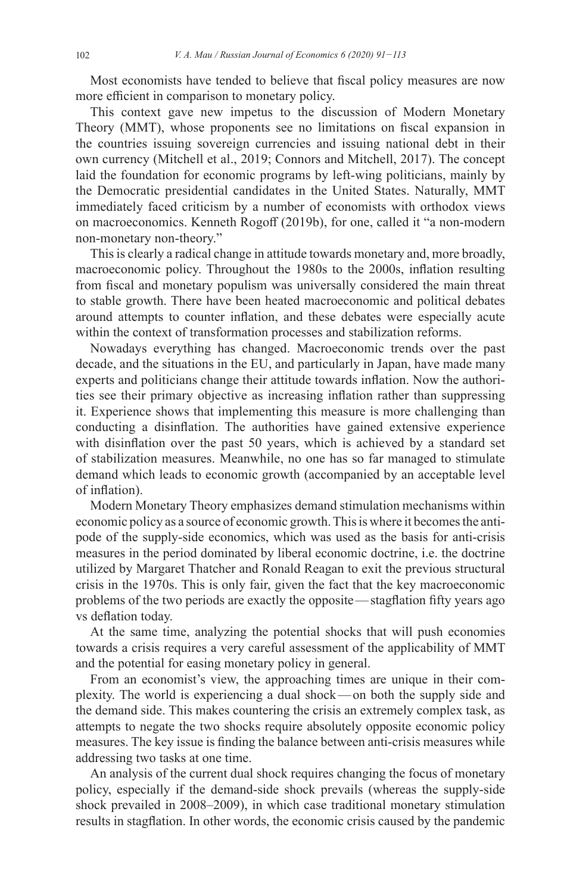Most economists have tended to believe that fiscal policy measures are now more efficient in comparison to monetary policy.

This context gave new impetus to the discussion of Modern Monetary Theory (MMT), whose proponents see no limitations on fiscal expansion in the countries issuing sovereign currencies and issuing national debt in their own currency (Mitchell et al., 2019; Connors and Mitchell, 2017). The concept laid the foundation for economic programs by left-wing politicians, mainly by the Democratic presidential candidates in the United States. Naturally, MMT immediately faced criticism by a number of economists with orthodox views on macroeconomics. Kenneth Rogoff (2019b), for one, called it "a non-modern non-monetary non-theory."

This is clearly a radical change in attitude towards monetary and, more broadly, macroeconomic policy. Throughout the 1980s to the 2000s, inflation resulting from fiscal and monetary populism was universally considered the main threat to stable growth. There have been heated macroeconomic and political debates around attempts to counter inflation, and these debates were especially acute within the context of transformation processes and stabilization reforms.

Nowadays everything has changed. Macroeconomic trends over the past decade, and the situations in the EU, and particularly in Japan, have made many experts and politicians change their attitude towards inflation. Now the authorities see their primary objective as increasing inflation rather than suppressing it. Experience shows that implementing this measure is more challenging than conducting a disinflation. The authorities have gained extensive experience with disinflation over the past 50 years, which is achieved by a standard set of stabilization measures. Meanwhile, no one has so far managed to stimulate demand which leads to economic growth (accompanied by an acceptable level of inflation).

Modern Monetary Theory emphasizes demand stimulation mechanisms within economic policy as a source of economic growth. This is where it becomes the antipode of the supply-side economics, which was used as the basis for anti-crisis measures in the period dominated by liberal economic doctrine, i.e. the doctrine utilized by Margaret Thatcher and Ronald Reagan to exit the previous structural crisis in the 1970s. This is only fair, given the fact that the key macroeconomic problems of the two periods are exactly the opposite—stagflation fifty years ago vs deflation today.

At the same time, analyzing the potential shocks that will push economies towards a crisis requires a very careful assessment of the applicability of MMT and the potential for easing monetary policy in general.

From an economist's view, the approaching times are unique in their complexity. The world is experiencing a dual shock—on both the supply side and the demand side. This makes countering the crisis an extremely complex task, as attempts to negate the two shocks require absolutely opposite economic policy measures. The key issue is finding the balance between anti-crisis measures while addressing two tasks at one time.

An analysis of the current dual shock requires changing the focus of monetary policy, especially if the demand-side shock prevails (whereas the supply-side shock prevailed in 2008–2009), in which case traditional monetary stimulation results in stagflation. In other words, the economic crisis caused by the pandemic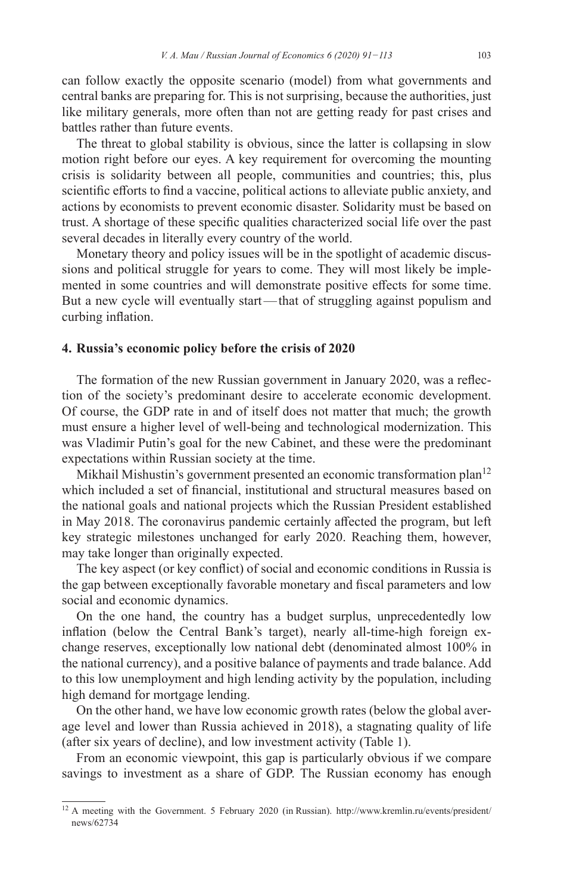can follow exactly the opposite scenario (model) from what governments and central banks are preparing for. This is not surprising, because the authorities, just like military generals, more often than not are getting ready for past crises and battles rather than future events.

The threat to global stability is obvious, since the latter is collapsing in slow motion right before our eyes. A key requirement for overcoming the mounting crisis is solidarity between all people, communities and countries; this, plus scientific efforts to find a vaccine, political actions to alleviate public anxiety, and actions by economists to prevent economic disaster. Solidarity must be based on trust. A shortage of these specific qualities characterized social life over the past several decades in literally every country of the world.

Monetary theory and policy issues will be in the spotlight of academic discussions and political struggle for years to come. They will most likely be implemented in some countries and will demonstrate positive effects for some time. But a new cycle will eventually start—that of struggling against populism and curbing inflation.

#### **4. Russia's economic policy before the crisis of 2020**

The formation of the new Russian government in January 2020, was a reflection of the society's predominant desire to accelerate economic development. Of course, the GDP rate in and of itself does not matter that much; the growth must ensure a higher level of well-being and technological modernization. This was Vladimir Putin's goal for the new Cabinet, and these were the predominant expectations within Russian society at the time.

Mikhail Mishustin's government presented an economic transformation plan<sup>12</sup> which included a set of financial, institutional and structural measures based on the national goals and national projects which the Russian President established in May 2018. The coronavirus pandemic certainly affected the program, but left key strategic milestones unchanged for early 2020. Reaching them, however, may take longer than originally expected.

The key aspect (or key conflict) of social and economic conditions in Russia is the gap between exceptionally favorable monetary and fiscal parameters and low social and economic dynamics.

On the one hand, the country has a budget surplus, unprecedentedly low inflation (below the Central Bank's target), nearly all-time-high foreign exchange reserves, exceptionally low national debt (denominated almost 100% in the national currency), and a positive balance of payments and trade balance. Add to this low unemployment and high lending activity by the population, including high demand for mortgage lending.

On the other hand, we have low economic growth rates (below the global average level and lower than Russia achieved in 2018), a stagnating quality of life (after six years of decline), and low investment activity (Table 1).

From an economic viewpoint, this gap is particularly obvious if we compare savings to investment as a share of GDP. The Russian economy has enough

<sup>&</sup>lt;sup>12</sup> A meeting with the Government. 5 February 2020 (in Russian). [http://www.kremlin.ru/events/president/](http://www.kremlin.ru/events/president/news/62734) [news/62734](http://www.kremlin.ru/events/president/news/62734)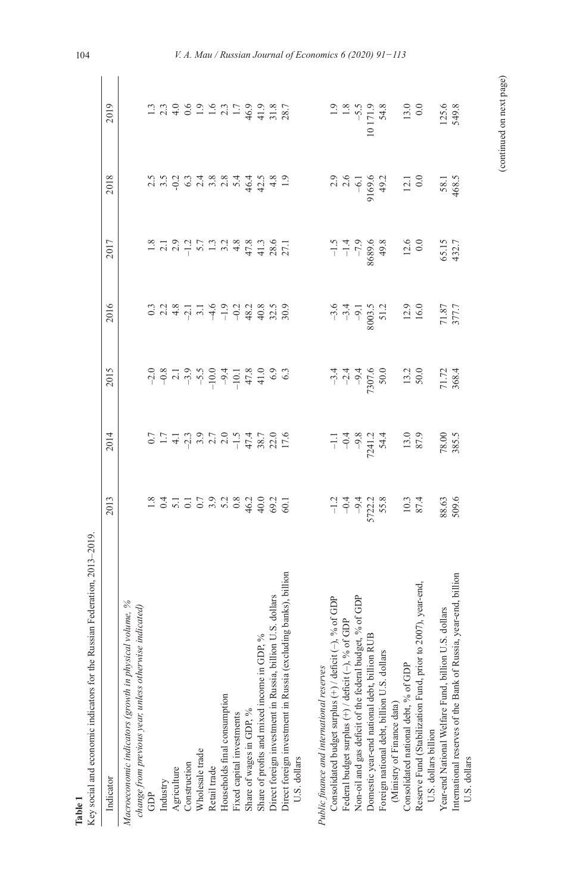| ederation, 2013-2019.<br>Key social and economic indicators for the Russian F<br>Table 1                                 |                                                                                                                                                                                                                                                                                                          |                                                                                                                                                                                                                                |                                             |                                              |                                                                                                                                                                                                                                                                                                                                                                                              |                                                   |                                              |  |
|--------------------------------------------------------------------------------------------------------------------------|----------------------------------------------------------------------------------------------------------------------------------------------------------------------------------------------------------------------------------------------------------------------------------------------------------|--------------------------------------------------------------------------------------------------------------------------------------------------------------------------------------------------------------------------------|---------------------------------------------|----------------------------------------------|----------------------------------------------------------------------------------------------------------------------------------------------------------------------------------------------------------------------------------------------------------------------------------------------------------------------------------------------------------------------------------------------|---------------------------------------------------|----------------------------------------------|--|
| Indicator                                                                                                                | 2013                                                                                                                                                                                                                                                                                                     | 2014                                                                                                                                                                                                                           | 2015                                        | 2016                                         | 2017                                                                                                                                                                                                                                                                                                                                                                                         | 2018                                              | 2019                                         |  |
| Macroeconomic indicators (growth in physical volume, %<br>change from previous year, unless otherwise indicated)         |                                                                                                                                                                                                                                                                                                          |                                                                                                                                                                                                                                |                                             |                                              |                                                                                                                                                                                                                                                                                                                                                                                              |                                                   |                                              |  |
| Ĝ                                                                                                                        |                                                                                                                                                                                                                                                                                                          |                                                                                                                                                                                                                                |                                             |                                              |                                                                                                                                                                                                                                                                                                                                                                                              |                                                   |                                              |  |
| Industry                                                                                                                 |                                                                                                                                                                                                                                                                                                          |                                                                                                                                                                                                                                |                                             |                                              |                                                                                                                                                                                                                                                                                                                                                                                              |                                                   |                                              |  |
| Agriculture                                                                                                              |                                                                                                                                                                                                                                                                                                          | $0.77799709777097770977709777709977770997779977799777997779977799777997779977799777997779977799777997779977799777997779977799777997779977799777997779977799777997779977799777997779977799777997779977799777997779977799779977$ |                                             |                                              | $\frac{3}{1} \frac{3}{2} \frac{1}{2} \frac{3}{2} \frac{1}{2} \frac{1}{2} \frac{5}{2} \frac{1}{2} \frac{3}{2} \frac{3}{2} \frac{3}{2} \frac{3}{2} \frac{3}{2} \frac{3}{2} \frac{1}{2} \frac{1}{2} \frac{3}{2} \frac{3}{2} \frac{1}{2} \frac{1}{2} \frac{3}{2} \frac{3}{2} \frac{1}{2} \frac{1}{2} \frac{3}{2} \frac{3}{2} \frac{1}{2} \frac{1}{2} \frac{3}{2} \frac{3}{2} \frac{1}{2} \frac{$ | cinquista a districto di<br>Cinquista a districto |                                              |  |
| Construction                                                                                                             |                                                                                                                                                                                                                                                                                                          |                                                                                                                                                                                                                                |                                             |                                              |                                                                                                                                                                                                                                                                                                                                                                                              |                                                   |                                              |  |
| Wholesale trade                                                                                                          |                                                                                                                                                                                                                                                                                                          |                                                                                                                                                                                                                                |                                             |                                              |                                                                                                                                                                                                                                                                                                                                                                                              |                                                   |                                              |  |
| Retail trade                                                                                                             |                                                                                                                                                                                                                                                                                                          |                                                                                                                                                                                                                                |                                             |                                              |                                                                                                                                                                                                                                                                                                                                                                                              |                                                   |                                              |  |
| Households final consumption                                                                                             |                                                                                                                                                                                                                                                                                                          |                                                                                                                                                                                                                                |                                             |                                              |                                                                                                                                                                                                                                                                                                                                                                                              |                                                   |                                              |  |
| Fixed capital investments                                                                                                |                                                                                                                                                                                                                                                                                                          |                                                                                                                                                                                                                                |                                             |                                              |                                                                                                                                                                                                                                                                                                                                                                                              |                                                   |                                              |  |
| Share of wages in GDP, %                                                                                                 |                                                                                                                                                                                                                                                                                                          |                                                                                                                                                                                                                                |                                             |                                              |                                                                                                                                                                                                                                                                                                                                                                                              |                                                   |                                              |  |
| Share of profits and mixed income in GDP, %                                                                              |                                                                                                                                                                                                                                                                                                          |                                                                                                                                                                                                                                |                                             |                                              |                                                                                                                                                                                                                                                                                                                                                                                              |                                                   |                                              |  |
| dollars<br>Direct foreign investment in Russia, billion U.S.                                                             |                                                                                                                                                                                                                                                                                                          |                                                                                                                                                                                                                                |                                             |                                              |                                                                                                                                                                                                                                                                                                                                                                                              |                                                   |                                              |  |
| Direct foreign investment in Russia (excluding banks), billion                                                           |                                                                                                                                                                                                                                                                                                          |                                                                                                                                                                                                                                |                                             |                                              |                                                                                                                                                                                                                                                                                                                                                                                              |                                                   |                                              |  |
| U.S. dollars                                                                                                             |                                                                                                                                                                                                                                                                                                          |                                                                                                                                                                                                                                |                                             |                                              |                                                                                                                                                                                                                                                                                                                                                                                              |                                                   |                                              |  |
| Public finance and international reserves                                                                                |                                                                                                                                                                                                                                                                                                          |                                                                                                                                                                                                                                |                                             |                                              |                                                                                                                                                                                                                                                                                                                                                                                              |                                                   |                                              |  |
| Consolidated budget surplus $(+)/$ deficit $(-)$ , $\%$ of GDP Federal budget surplus $(+)/$ deficit $(-)$ , $\%$ of GDP |                                                                                                                                                                                                                                                                                                          |                                                                                                                                                                                                                                |                                             |                                              |                                                                                                                                                                                                                                                                                                                                                                                              |                                                   |                                              |  |
|                                                                                                                          |                                                                                                                                                                                                                                                                                                          |                                                                                                                                                                                                                                |                                             |                                              |                                                                                                                                                                                                                                                                                                                                                                                              |                                                   |                                              |  |
| Non-oil and gas deficit of the federal budget, % of GDP                                                                  |                                                                                                                                                                                                                                                                                                          |                                                                                                                                                                                                                                |                                             |                                              |                                                                                                                                                                                                                                                                                                                                                                                              |                                                   |                                              |  |
| Domestic year-end national debt, billion RUB                                                                             |                                                                                                                                                                                                                                                                                                          |                                                                                                                                                                                                                                |                                             |                                              |                                                                                                                                                                                                                                                                                                                                                                                              |                                                   |                                              |  |
| Foreign national debt, billion U.S. dollars                                                                              | $-1$<br>$-9$<br>$-9$<br>$-1$<br>$-9$<br>$-1$<br>$-5$<br>$-5$<br>$-5$<br>$-5$<br>$-5$<br>$-5$<br>$-5$<br>$-5$<br>$-5$<br>$-5$<br>$-5$<br>$-5$<br>$-5$<br>$-5$<br>$-5$<br>$-5$<br>$-5$<br>$-5$<br>$-5$<br>$-5$<br>$-5$<br>$-5$<br>$-5$<br>$-5$<br>$-5$<br>$-5$<br>$-5$<br>$-5$<br>$-5$<br>$-5$<br>$-5$<br> | $-1.1$<br>$-0.4$<br>$-9.8$<br>$-24.1$<br>54.4                                                                                                                                                                                  | $-34$<br>$-24$<br>$-94$<br>$-307.6$<br>50.0 | $-34$<br>$-91$<br>$-91$<br>$-3003$<br>$-512$ | $^{26}$<br>-1.4<br>-7.9<br>-7.9<br>-1.5<br>-1.5                                                                                                                                                                                                                                                                                                                                              |                                                   | 1.9<br>1.8<br>1.5<br>5.5<br>10 171.9<br>54.8 |  |
| (Ministry of Finance data)                                                                                               |                                                                                                                                                                                                                                                                                                          |                                                                                                                                                                                                                                |                                             |                                              |                                                                                                                                                                                                                                                                                                                                                                                              |                                                   |                                              |  |
| Consolidated national debt, % of GDP                                                                                     |                                                                                                                                                                                                                                                                                                          |                                                                                                                                                                                                                                |                                             |                                              |                                                                                                                                                                                                                                                                                                                                                                                              |                                                   |                                              |  |
| year-end<br>Reserve Fund (Stabilization Fund, prior to 2007),<br>U.S. dollars billion                                    | $\frac{10.3}{87.4}$                                                                                                                                                                                                                                                                                      | 13.0<br>87.9                                                                                                                                                                                                                   | $\frac{13.2}{50.0}$                         | 12.9<br>16.0                                 |                                                                                                                                                                                                                                                                                                                                                                                              | $12.1$<br>0.0                                     | 13.0                                         |  |
| Year-end National Welfare Fund, billion U.S. dollars                                                                     |                                                                                                                                                                                                                                                                                                          | 78.00<br>385.5                                                                                                                                                                                                                 | 71.72<br>368.4                              | 71.87<br>377.7                               |                                                                                                                                                                                                                                                                                                                                                                                              |                                                   | 125.6<br>549.8                               |  |
| International reserves of the Bank of Russia, year-end, billion<br>U.S. dollars                                          | 88.63<br>509.6                                                                                                                                                                                                                                                                                           |                                                                                                                                                                                                                                |                                             |                                              | 65.15<br>432.7                                                                                                                                                                                                                                                                                                                                                                               | 58.1<br>468.5                                     |                                              |  |
|                                                                                                                          |                                                                                                                                                                                                                                                                                                          |                                                                                                                                                                                                                                |                                             |                                              |                                                                                                                                                                                                                                                                                                                                                                                              |                                                   |                                              |  |

(continued on next page) (continued on next page)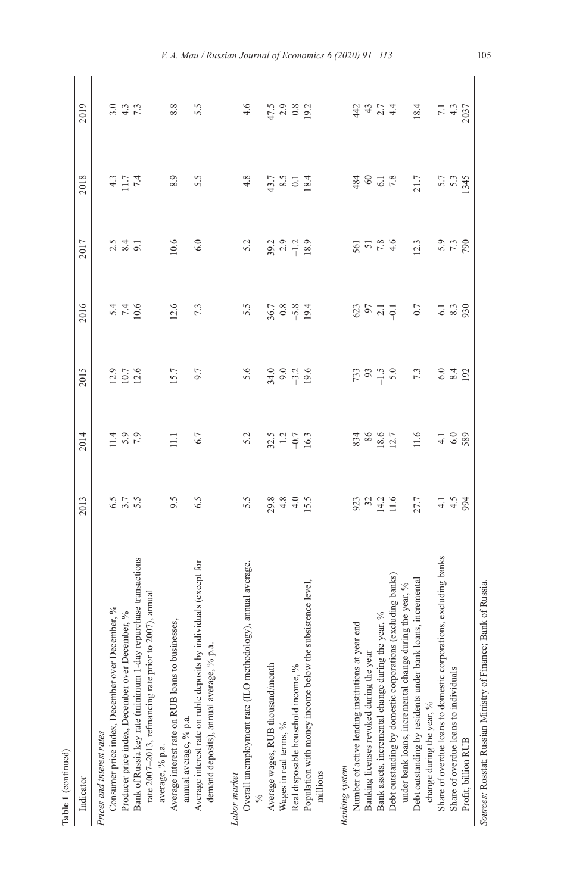| 1 |
|---|
|   |
|   |
|   |

| Table 1 (continued)                                                                                   |                            |                            |                                                    |                                    |                                     |                                 |                           |
|-------------------------------------------------------------------------------------------------------|----------------------------|----------------------------|----------------------------------------------------|------------------------------------|-------------------------------------|---------------------------------|---------------------------|
| Indicator                                                                                             | 2013                       | 2014                       | 2015                                               | 2016                               | 2017                                | 2018                            | 2019                      |
| Prices and interest rates                                                                             |                            |                            |                                                    |                                    |                                     |                                 |                           |
|                                                                                                       |                            |                            |                                                    |                                    |                                     |                                 |                           |
| Consumer price index, December over December, $\%$ Producer price index, December over December, $\%$ | 5 17 19<br>6 17 19         | $1.4$<br>5.9<br>7.9        |                                                    |                                    | $2.5$ $3.4$                         | $4 - 7$<br>$-7$<br>$-7$<br>$-7$ | $3.9$<br>$7.3$            |
| Bank of Russia key rate (minimum 1-day repurchase transactions                                        |                            |                            | $\begin{array}{c} 2.9 \\ 10.7 \\ 12.6 \end{array}$ | 2 1 4<br>2 4 4<br>2 4 9            |                                     |                                 |                           |
| rate 2007-2013, refinancing rate prior to 2007), annual                                               |                            |                            |                                                    |                                    |                                     |                                 |                           |
| average, % p.a.                                                                                       |                            |                            |                                                    |                                    |                                     |                                 |                           |
| Average interest rate on RUB loans to businesses,                                                     | 9.5                        | $\Xi$                      | 15.7                                               | 12.6                               | 10.6                                | 8.9                             | $8.8\,$                   |
| amual average, % p.a.                                                                                 |                            |                            |                                                    |                                    |                                     |                                 |                           |
| Average interest rate on ruble deposits by individuals (except for                                    | 6.5                        | 6.7                        | 9.7                                                | 7.3                                | 6.0                                 | 5.5                             | 5.5                       |
| demand deposits), annual average, % p.a.                                                              |                            |                            |                                                    |                                    |                                     |                                 |                           |
| Labor market                                                                                          |                            |                            |                                                    |                                    |                                     |                                 |                           |
| Overall unemployment rate (ILO methodology), annual average,                                          | 5.5                        | 5.2                        | 5.6                                                | 5.5                                | 5.2                                 | 4.8                             | 4.6                       |
|                                                                                                       |                            |                            |                                                    |                                    |                                     |                                 |                           |
| Average wages, RUB thousand/month                                                                     |                            |                            |                                                    |                                    |                                     |                                 |                           |
| Wages in real terms, %                                                                                |                            |                            |                                                    |                                    |                                     |                                 |                           |
| Real disposable household income, %                                                                   |                            |                            |                                                    |                                    |                                     |                                 |                           |
| Population with money income below the subsistence level                                              | $29.8$<br>$44.5$<br>$15.5$ | $32.5$<br>$-0.7$<br>$-0.3$ | $3499.6$<br>$799.6$                                | $36.7$<br>$3.8$<br>$9.4$<br>$19.4$ | $39.2$<br>$7.3$<br>$-1.3$<br>$18.9$ | $7.7$ 8.5 0 1 8.4               | $47.5$<br>$2.8$<br>$19.2$ |
| millions                                                                                              |                            |                            |                                                    |                                    |                                     |                                 |                           |
|                                                                                                       |                            |                            |                                                    |                                    |                                     |                                 |                           |
| Number of active lending institutions at year end<br><b>Banking</b> system                            |                            |                            |                                                    |                                    |                                     |                                 |                           |
| Banking licenses revoked during the year                                                              |                            |                            |                                                    |                                    |                                     |                                 |                           |
| Bank assets, incremental change during the year, %                                                    | 923<br>32<br>14.2<br>11.6  | 834<br>86<br>18.6<br>12.7  | $733$<br>$-1.5$<br>$-1.5$                          | 3577                               | $501$<br>$7.8$<br>$4.6$             | 480.78                          | $4374$<br>$4374$          |
| Debt outstanding by domestic corporations (excluding banks)                                           |                            |                            |                                                    |                                    |                                     |                                 |                           |
| under bank loans, incremental change during the year, %                                               |                            |                            |                                                    |                                    |                                     |                                 |                           |
| Debt outstanding by residents under bank loans, incremental                                           | 27.7                       | 11.6                       | $-7.3$                                             | 0.7                                | 12.3                                | 21.7                            | 18.4                      |
| change during the year, %                                                                             |                            |                            |                                                    |                                    |                                     |                                 |                           |
| Share of overdue loans to domestic corporations, excluding banks                                      |                            | $4.1$ $6.0$                | $6.48$<br>92                                       |                                    | 5.3<br>7.3<br>90                    |                                 | 7.1<br>4.3<br>2037        |
| Share of overdue loans to individuals                                                                 | $4.5$<br>$4.5$<br>94       |                            |                                                    | $6.1$<br>$8.3$<br>930              |                                     | 5.7<br>5.3<br>5.45              |                           |
| Profit, billion RUB                                                                                   |                            | 589                        |                                                    |                                    |                                     |                                 |                           |
| Sources: Rosstat; Russian Ministry of Finance; Bank of Russia.                                        |                            |                            |                                                    |                                    |                                     |                                 |                           |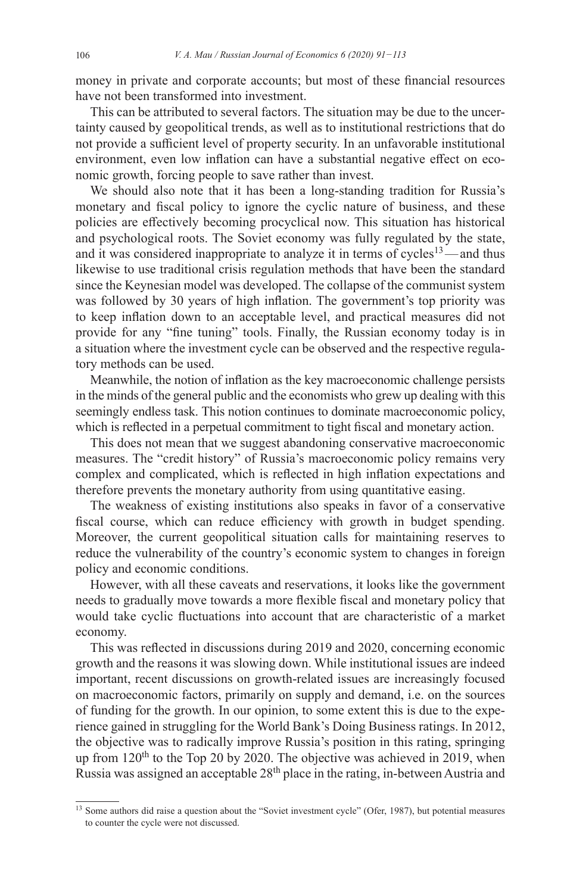money in private and corporate accounts; but most of these financial resources have not been transformed into investment.

This can be attributed to several factors. The situation may be due to the uncertainty caused by geopolitical trends, as well as to institutional restrictions that do not provide a sufficient level of property security. In an unfavorable institutional environment, even low inflation can have a substantial negative effect on economic growth, forcing people to save rather than invest.

We should also note that it has been a long-standing tradition for Russia's monetary and fiscal policy to ignore the cyclic nature of business, and these policies are effectively becoming procyclical now. This situation has historical and psychological roots. The Soviet economy was fully regulated by the state, and it was considered inappropriate to analyze it in terms of  $cycles<sup>13</sup>$ —and thus likewise to use traditional crisis regulation methods that have been the standard since the Keynesian model was developed. The collapse of the communist system was followed by 30 years of high inflation. The government's top priority was to keep inflation down to an acceptable level, and practical measures did not provide for any "fine tuning" tools. Finally, the Russian economy today is in a situation where the investment cycle can be observed and the respective regulatory methods can be used.

Meanwhile, the notion of inflation as the key macroeconomic challenge persists in the minds of the general public and the economists who grew up dealing with this seemingly endless task. This notion continues to dominate macroeconomic policy, which is reflected in a perpetual commitment to tight fiscal and monetary action.

This does not mean that we suggest abandoning conservative macroeconomic measures. The "credit history" of Russia's macroeconomic policy remains very complex and complicated, which is reflected in high inflation expectations and therefore prevents the monetary authority from using quantitative easing.

The weakness of existing institutions also speaks in favor of a conservative fiscal course, which can reduce efficiency with growth in budget spending. Moreover, the current geopolitical situation calls for maintaining reserves to reduce the vulnerability of the country's economic system to changes in foreign policy and economic conditions.

However, with all these caveats and reservations, it looks like the government needs to gradually move towards a more flexible fiscal and monetary policy that would take cyclic fluctuations into account that are characteristic of a market economy.

This was reflected in discussions during 2019 and 2020, concerning economic growth and the reasons it was slowing down. While institutional issues are indeed important, recent discussions on growth-related issues are increasingly focused on macroeconomic factors, primarily on supply and demand, i.e. on the sources of funding for the growth. In our opinion, to some extent this is due to the experience gained in struggling for the World Bank's Doing Business ratings. In 2012, the objective was to radically improve Russia's position in this rating, springing up from 120<sup>th</sup> to the Top 20 by 2020. The objective was achieved in 2019, when Russia was assigned an acceptable 28<sup>th</sup> place in the rating, in-between Austria and

<sup>&</sup>lt;sup>13</sup> Some authors did raise a question about the "Soviet investment cycle" (Ofer, 1987), but potential measures to counter the cycle were not discussed.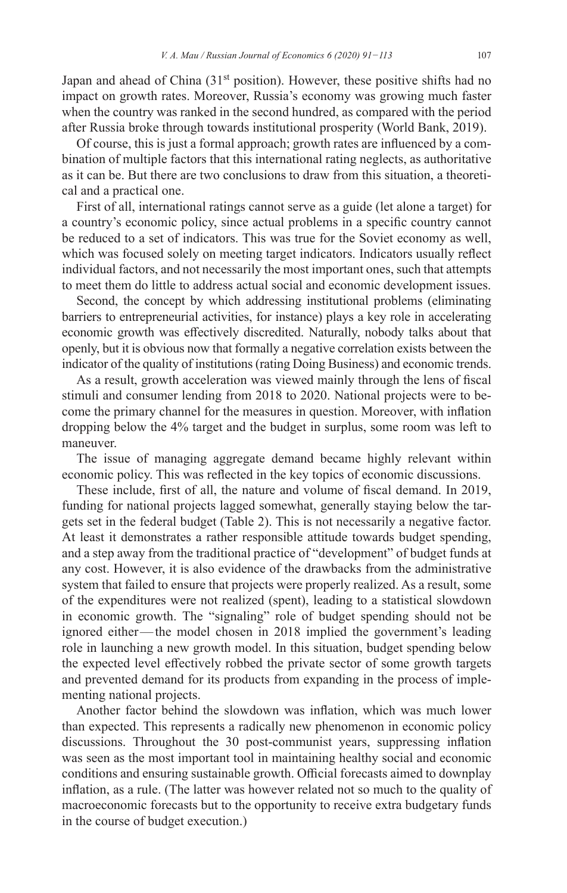Japan and ahead of China  $(31<sup>st</sup>$  position). However, these positive shifts had no impact on growth rates. Moreover, Russia's economy was growing much faster when the country was ranked in the second hundred, as compared with the period after Russia broke through towards institutional prosperity (World Bank, 2019).

Of course, this is just a formal approach; growth rates are influenced by a combination of multiple factors that this international rating neglects, as authoritative as it can be. But there are two conclusions to draw from this situation, a theoretical and a practical one.

First of all, international ratings cannot serve as a guide (let alone a target) for a country's economic policy, since actual problems in a specific country cannot be reduced to a set of indicators. This was true for the Soviet economy as well, which was focused solely on meeting target indicators. Indicators usually reflect individual factors, and not necessarily the most important ones, such that attempts to meet them do little to address actual social and economic development issues.

Second, the concept by which addressing institutional problems (eliminating barriers to entrepreneurial activities, for instance) plays a key role in accelerating economic growth was effectively discredited. Naturally, nobody talks about that openly, but it is obvious now that formally a negative correlation exists between the indicator of the quality of institutions (rating Doing Business) and economic trends.

As a result, growth acceleration was viewed mainly through the lens of fiscal stimuli and consumer lending from 2018 to 2020. National projects were to become the primary channel for the measures in question. Moreover, with inflation dropping below the 4% target and the budget in surplus, some room was left to maneuver.

The issue of managing aggregate demand became highly relevant within economic policy. This was reflected in the key topics of economic discussions.

These include, first of all, the nature and volume of fiscal demand. In 2019, funding for national projects lagged somewhat, generally staying below the targets set in the federal budget (Table 2). This is not necessarily a negative factor. At least it demonstrates a rather responsible attitude towards budget spending, and a step away from the traditional practice of "development" of budget funds at any cost. However, it is also evidence of the drawbacks from the administrative system that failed to ensure that projects were properly realized. As a result, some of the expenditures were not realized (spent), leading to a statistical slowdown in economic growth. The "signaling" role of budget spending should not be ignored either—the model chosen in 2018 implied the government's leading role in launching a new growth model. In this situation, budget spending below the expected level effectively robbed the private sector of some growth targets and prevented demand for its products from expanding in the process of implementing national projects.

Another factor behind the slowdown was inflation, which was much lower than expected. This represents a radically new phenomenon in economic policy discussions. Throughout the 30 post-communist years, suppressing inflation was seen as the most important tool in maintaining healthy social and economic conditions and ensuring sustainable growth. Official forecasts aimed to downplay inflation, as a rule. (The latter was however related not so much to the quality of macroeconomic forecasts but to the opportunity to receive extra budgetary funds in the course of budget execution.)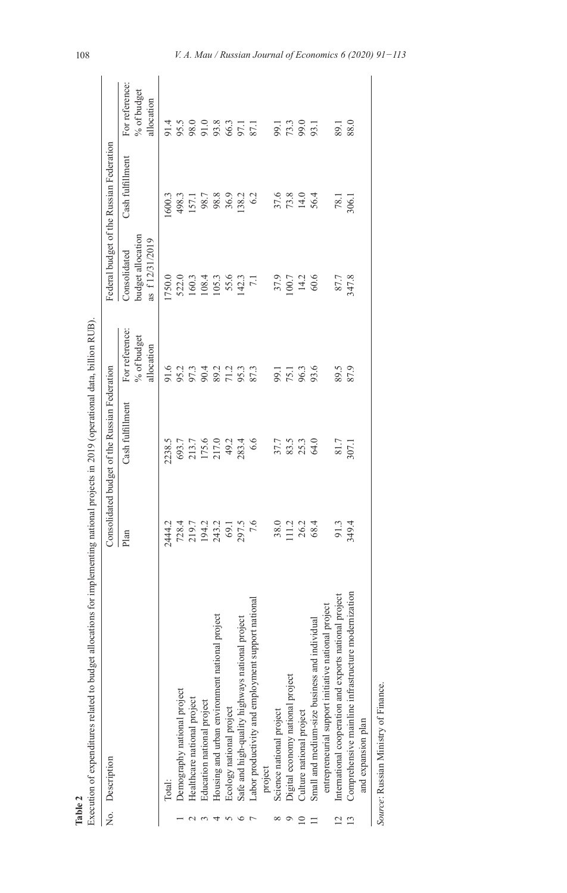|                | Execution of expenditures related to budget allocations for implementing national projects in 2019 (operational data, billion RUB)<br>No. Description |                                              | Consolidated budget of the Russian Federation |                               |                                   | Federal budget of the Russian Federation |                                      |
|----------------|-------------------------------------------------------------------------------------------------------------------------------------------------------|----------------------------------------------|-----------------------------------------------|-------------------------------|-----------------------------------|------------------------------------------|--------------------------------------|
|                |                                                                                                                                                       | Plan                                         | Cash fulfillment                              | For reference:<br>% of budget | budget allocation<br>Consolidated | Cash fulfillment                         | For reference:<br>% of budget        |
|                |                                                                                                                                                       |                                              |                                               | allocation                    | as f12/31/2019                    |                                          | allocation                           |
|                | Total:                                                                                                                                                | 2444.2                                       | 2238.5                                        |                               | 1750.0                            | 1600.3                                   | 91.4                                 |
|                | Demography national project                                                                                                                           |                                              |                                               | 9.2<br>9.2<br>9.3<br>9.3      | 522.0                             |                                          |                                      |
|                | Healthcare national project                                                                                                                           |                                              |                                               |                               | 160.3<br>108.4<br>105.3           | 498.3<br>157.1                           |                                      |
|                | Education national project                                                                                                                            |                                              |                                               |                               |                                   |                                          |                                      |
|                | Housing and urban environment national project                                                                                                        |                                              |                                               | 89.2<br>71.2<br>95.3          |                                   | 98.7<br>98.8<br>36.9                     |                                      |
|                | Ecology national project                                                                                                                              |                                              |                                               |                               | 55.6                              |                                          |                                      |
|                | Safe and high-quality highways national project                                                                                                       | 728.4<br>219.4.2<br>194.3.2<br>79.7.5<br>7.6 | 693.7<br>213.7<br>175.6<br>217.0<br>283.4     |                               | 142.3                             | 138.2                                    | 55.3<br>98.0<br>95.3<br>95.7<br>97.1 |
|                | ional<br>Labor productivity and employment support nati                                                                                               |                                              | 6.6                                           | 87.3                          | $\overline{z}$                    | 6.2                                      |                                      |
|                | project                                                                                                                                               |                                              |                                               |                               |                                   |                                          |                                      |
|                | Science national project                                                                                                                              | 38.0                                         |                                               |                               | 37.9                              |                                          |                                      |
|                | Digital economy national project                                                                                                                      | 111.2                                        | 37.7<br>83.3<br>25.3                          | 99.1<br>75.3<br>95.6          | 100.7                             | 37.6<br>73.8                             | 99.1<br>73.3<br>99.0                 |
|                | Culture national project                                                                                                                              | 26.2                                         |                                               |                               | 14.2                              | 14.0                                     |                                      |
|                | Small and medium-size business and individual                                                                                                         | 68.4                                         | 64.0                                          |                               | 60.6                              | 56.4                                     | 93.1                                 |
|                | entrepreneurial support initiative national project                                                                                                   |                                              |                                               |                               |                                   |                                          |                                      |
| $\overline{2}$ | International cooperation and exports national project                                                                                                | 91.3                                         | 81.7<br>307.1                                 | 89.5                          | 87.7                              | 78.1                                     | 89.1                                 |
|                | Comprehensive mainline infrastructure modernization                                                                                                   | 349.4                                        |                                               | 87.9                          | 347.8                             | 306.1                                    | 88.0                                 |
|                | and expansion plan                                                                                                                                    |                                              |                                               |                               |                                   |                                          |                                      |
|                | Source: Russian Ministry of Finance.                                                                                                                  |                                              |                                               |                               |                                   |                                          |                                      |

Table 2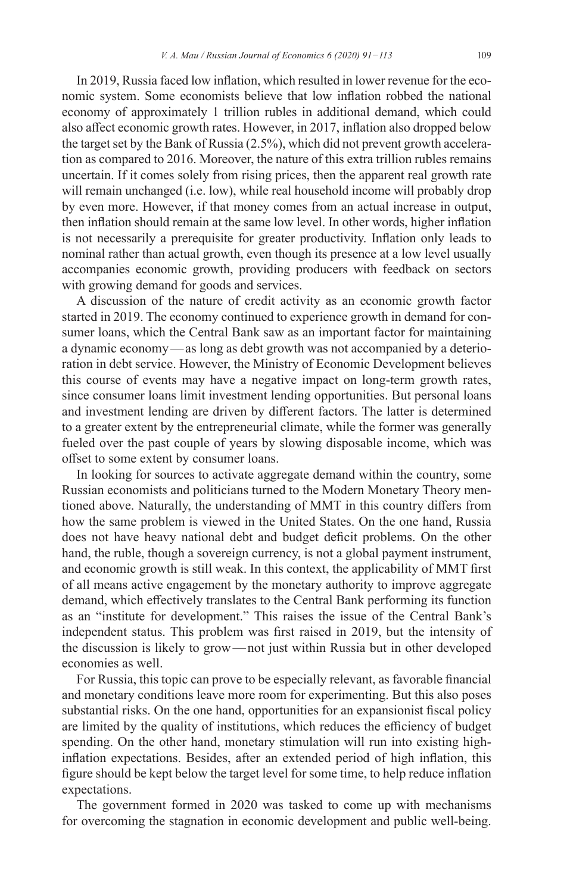In 2019, Russia faced low inflation, which resulted in lower revenue for the economic system. Some economists believe that low inflation robbed the national economy of approximately 1 trillion rubles in additional demand, which could also affect economic growth rates. However, in 2017, inflation also dropped below the target set by the Bank of Russia (2.5%), which did not prevent growth acceleration as compared to 2016. Moreover, the nature of this extra trillion rubles remains uncertain. If it comes solely from rising prices, then the apparent real growth rate will remain unchanged (i.e. low), while real household income will probably drop by even more. However, if that money comes from an actual increase in output, then inflation should remain at the same low level. In other words, higher inflation is not necessarily a prerequisite for greater productivity. Inflation only leads to nominal rather than actual growth, even though its presence at a low level usually accompanies economic growth, providing producers with feedback on sectors with growing demand for goods and services.

A discussion of the nature of credit activity as an economic growth factor started in 2019. The economy continued to experience growth in demand for consumer loans, which the Central Bank saw as an important factor for maintaining a dynamic economy—as long as debt growth was not accompanied by a deterioration in debt service. However, the Ministry of Economic Development believes this course of events may have a negative impact on long-term growth rates, since consumer loans limit investment lending opportunities. But personal loans and investment lending are driven by different factors. The latter is determined to a greater extent by the entrepreneurial climate, while the former was generally fueled over the past couple of years by slowing disposable income, which was offset to some extent by consumer loans.

In looking for sources to activate aggregate demand within the country, some Russian economists and politicians turned to the Modern Monetary Theory mentioned above. Naturally, the understanding of MMT in this country differs from how the same problem is viewed in the United States. On the one hand, Russia does not have heavy national debt and budget deficit problems. On the other hand, the ruble, though a sovereign currency, is not a global payment instrument, and economic growth is still weak. In this context, the applicability of MMT first of all means active engagement by the monetary authority to improve aggregate demand, which effectively translates to the Central Bank performing its function as an "institute for development." This raises the issue of the Central Bank's independent status. This problem was first raised in 2019, but the intensity of the discussion is likely to grow—not just within Russia but in other developed economies as well.

For Russia, this topic can prove to be especially relevant, as favorable financial and monetary conditions leave more room for experimenting. But this also poses substantial risks. On the one hand, opportunities for an expansionist fiscal policy are limited by the quality of institutions, which reduces the efficiency of budget spending. On the other hand, monetary stimulation will run into existing highinflation expectations. Besides, after an extended period of high inflation, this figure should be kept below the target level for some time, to help reduce inflation expectations.

The government formed in 2020 was tasked to come up with mechanisms for overcoming the stagnation in economic development and public well-being.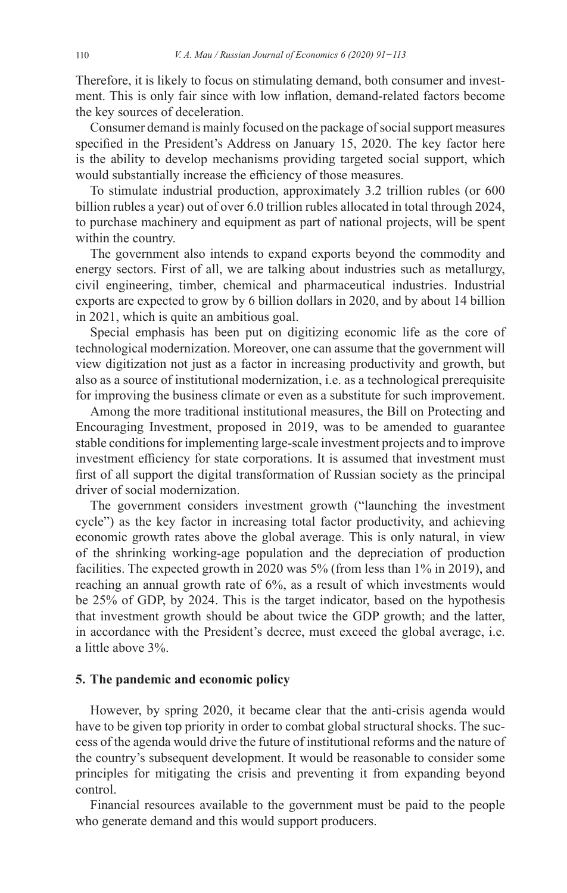Therefore, it is likely to focus on stimulating demand, both consumer and investment. This is only fair since with low inflation, demand-related factors become the key sources of deceleration.

Consumer demand is mainly focused on the package of social support measures specified in the President's Address on January 15, 2020. The key factor here is the ability to develop mechanisms providing targeted social support, which would substantially increase the efficiency of those measures.

To stimulate industrial production, approximately 3.2 trillion rubles (or 600 billion rubles a year) out of over 6.0 trillion rubles allocated in total through 2024, to purchase machinery and equipment as part of national projects, will be spent within the country.

The government also intends to expand exports beyond the commodity and energy sectors. First of all, we are talking about industries such as metallurgy, civil engineering, timber, chemical and pharmaceutical industries. Industrial exports are expected to grow by 6 billion dollars in 2020, and by about 14 billion in 2021, which is quite an ambitious goal.

Special emphasis has been put on digitizing economic life as the core of technological modernization. Moreover, one can assume that the government will view digitization not just as a factor in increasing productivity and growth, but also as a source of institutional modernization, i.e. as a technological prerequisite for improving the business climate or even as a substitute for such improvement.

Among the more traditional institutional measures, the Bill on Protecting and Encouraging Investment, proposed in 2019, was to be amended to guarantee stable conditions for implementing large-scale investment projects and to improve investment efficiency for state corporations. It is assumed that investment must first of all support the digital transformation of Russian society as the principal driver of social modernization.

The government considers investment growth ("launching the investment cycle") as the key factor in increasing total factor productivity, and achieving economic growth rates above the global average. This is only natural, in view of the shrinking working-age population and the depreciation of production facilities. The expected growth in 2020 was 5% (from less than 1% in 2019), and reaching an annual growth rate of 6%, as a result of which investments would be 25% of GDP, by 2024. This is the target indicator, based on the hypothesis that investment growth should be about twice the GDP growth; and the latter, in accordance with the President's decree, must exceed the global average, i.e. a little above 3%.

#### **5. The pandemic and economic policy**

However, by spring 2020, it became clear that the anti-crisis agenda would have to be given top priority in order to combat global structural shocks. The success of the agenda would drive the future of institutional reforms and the nature of the country's subsequent development. It would be reasonable to consider some principles for mitigating the crisis and preventing it from expanding beyond control.

Financial resources available to the government must be paid to the people who generate demand and this would support producers.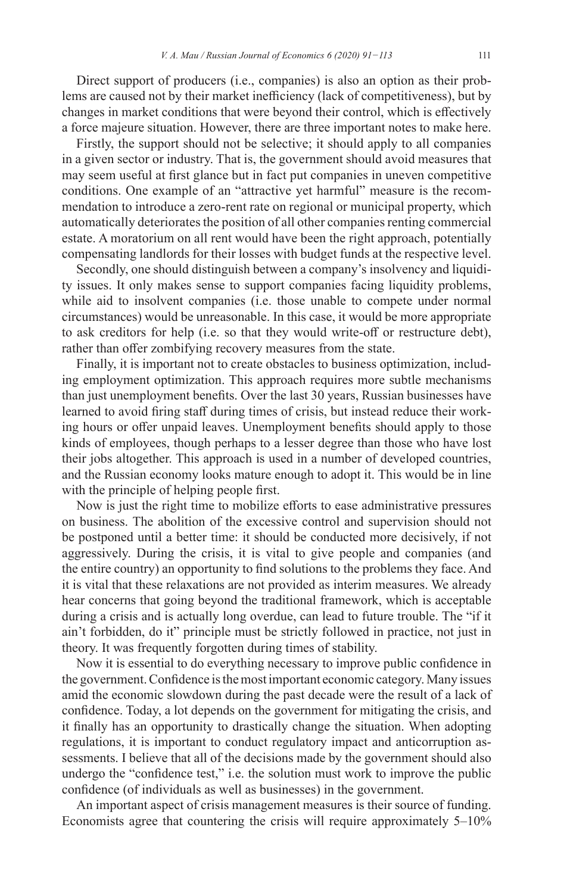Direct support of producers (i.e., companies) is also an option as their problems are caused not by their market inefficiency (lack of competitiveness), but by changes in market conditions that were beyond their control, which is effectively a force majeure situation. However, there are three important notes to make here.

Firstly, the support should not be selective; it should apply to all companies in a given sector or industry. That is, the government should avoid measures that may seem useful at first glance but in fact put companies in uneven competitive conditions. One example of an "attractive yet harmful" measure is the recommendation to introduce a zero-rent rate on regional or municipal property, which automatically deteriorates the position of all other companies renting commercial estate. A moratorium on all rent would have been the right approach, potentially compensating landlords for their losses with budget funds at the respective level.

Secondly, one should distinguish between a company's insolvency and liquidity issues. It only makes sense to support companies facing liquidity problems, while aid to insolvent companies (i.e. those unable to compete under normal circumstances) would be unreasonable. In this case, it would be more appropriate to ask creditors for help (i.e. so that they would write-off or restructure debt), rather than offer zombifying recovery measures from the state.

Finally, it is important not to create obstacles to business optimization, including employment optimization. This approach requires more subtle mechanisms than just unemployment benefits. Over the last 30 years, Russian businesses have learned to avoid firing staff during times of crisis, but instead reduce their working hours or offer unpaid leaves. Unemployment benefits should apply to those kinds of employees, though perhaps to a lesser degree than those who have lost their jobs altogether. This approach is used in a number of developed countries, and the Russian economy looks mature enough to adopt it. This would be in line with the principle of helping people first.

Now is just the right time to mobilize efforts to ease administrative pressures on business. The abolition of the excessive control and supervision should not be postponed until a better time: it should be conducted more decisively, if not aggressively. During the crisis, it is vital to give people and companies (and the entire country) an opportunity to find solutions to the problems they face. And it is vital that these relaxations are not provided as interim measures. We already hear concerns that going beyond the traditional framework, which is acceptable during a crisis and is actually long overdue, can lead to future trouble. The "if it ain't forbidden, do it" principle must be strictly followed in practice, not just in theory. It was frequently forgotten during times of stability.

Now it is essential to do everything necessary to improve public confidence in the government.Confidence isthe most important economic category.Many issues amid the economic slowdown during the past decade were the result of a lack of confidence. Today, a lot depends on the government for mitigating the crisis, and it finally has an opportunity to drastically change the situation. When adopting regulations, it is important to conduct regulatory impact and anticorruption assessments. I believe that all of the decisions made by the government should also undergo the "confidence test," i.e. the solution must work to improve the public confidence (of individuals as well as businesses) in the government.

An important aspect of crisis management measures is their source of funding. Economists agree that countering the crisis will require approximately 5–10%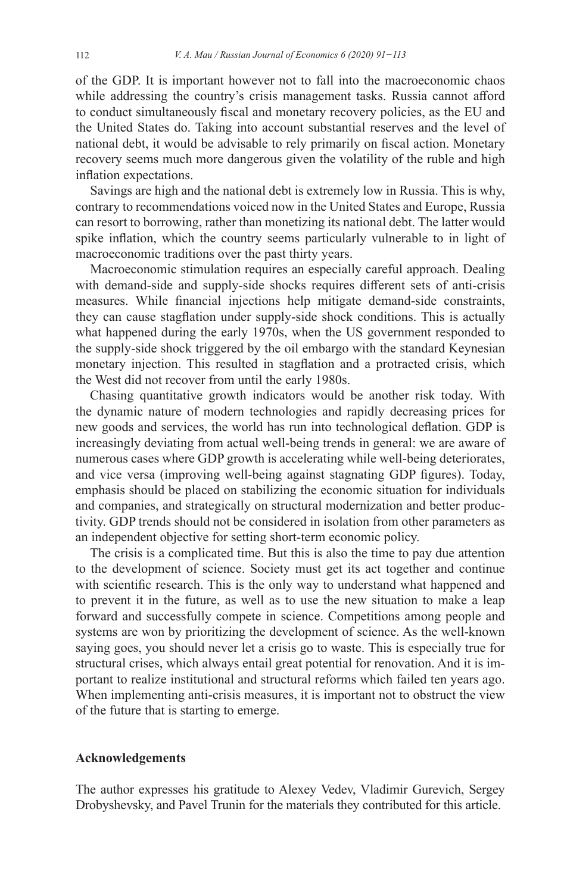of the GDP. It is important however not to fall into the macroeconomic chaos while addressing the country's crisis management tasks. Russia cannot afford to conduct simultaneously fiscal and monetary recovery policies, as the EU and the United States do. Taking into account substantial reserves and the level of national debt, it would be advisable to rely primarily on fiscal action. Monetary recovery seems much more dangerous given the volatility of the ruble and high inflation expectations.

Savings are high and the national debt is extremely low in Russia. This is why, contrary to recommendations voiced now in the United States and Europe, Russia can resort to borrowing, rather than monetizing its national debt. The latter would spike inflation, which the country seems particularly vulnerable to in light of macroeconomic traditions over the past thirty years.

Macroeconomic stimulation requires an especially careful approach. Dealing with demand-side and supply-side shocks requires different sets of anti-crisis measures. While financial injections help mitigate demand-side constraints, they can cause stagflation under supply-side shock conditions. This is actually what happened during the early 1970s, when the US government responded to the supply-side shock triggered by the oil embargo with the standard Keynesian monetary injection. This resulted in stagflation and a protracted crisis, which the West did not recover from until the early 1980s.

Chasing quantitative growth indicators would be another risk today. With the dynamic nature of modern technologies and rapidly decreasing prices for new goods and services, the world has run into technological deflation. GDP is increasingly deviating from actual well-being trends in general: we are aware of numerous cases where GDP growth is accelerating while well-being deteriorates, and vice versa (improving well-being against stagnating GDP figures). Today, emphasis should be placed on stabilizing the economic situation for individuals and companies, and strategically on structural modernization and better productivity. GDP trends should not be considered in isolation from other parameters as an independent objective for setting short-term economic policy.

The crisis is a complicated time. But this is also the time to pay due attention to the development of science. Society must get its act together and continue with scientific research. This is the only way to understand what happened and to prevent it in the future, as well as to use the new situation to make a leap forward and successfully compete in science. Competitions among people and systems are won by prioritizing the development of science. As the well-known saying goes, you should never let a crisis go to waste. This is especially true for structural crises, which always entail great potential for renovation. And it is important to realize institutional and structural reforms which failed ten years ago. When implementing anti-crisis measures, it is important not to obstruct the view of the future that is starting to emerge.

### **Acknowledgements**

The author expresses his gratitude to Alexey Vedev, Vladimir Gurevich, Sergey Drobyshevsky, and Pavel Trunin for the materials they contributed for this article.